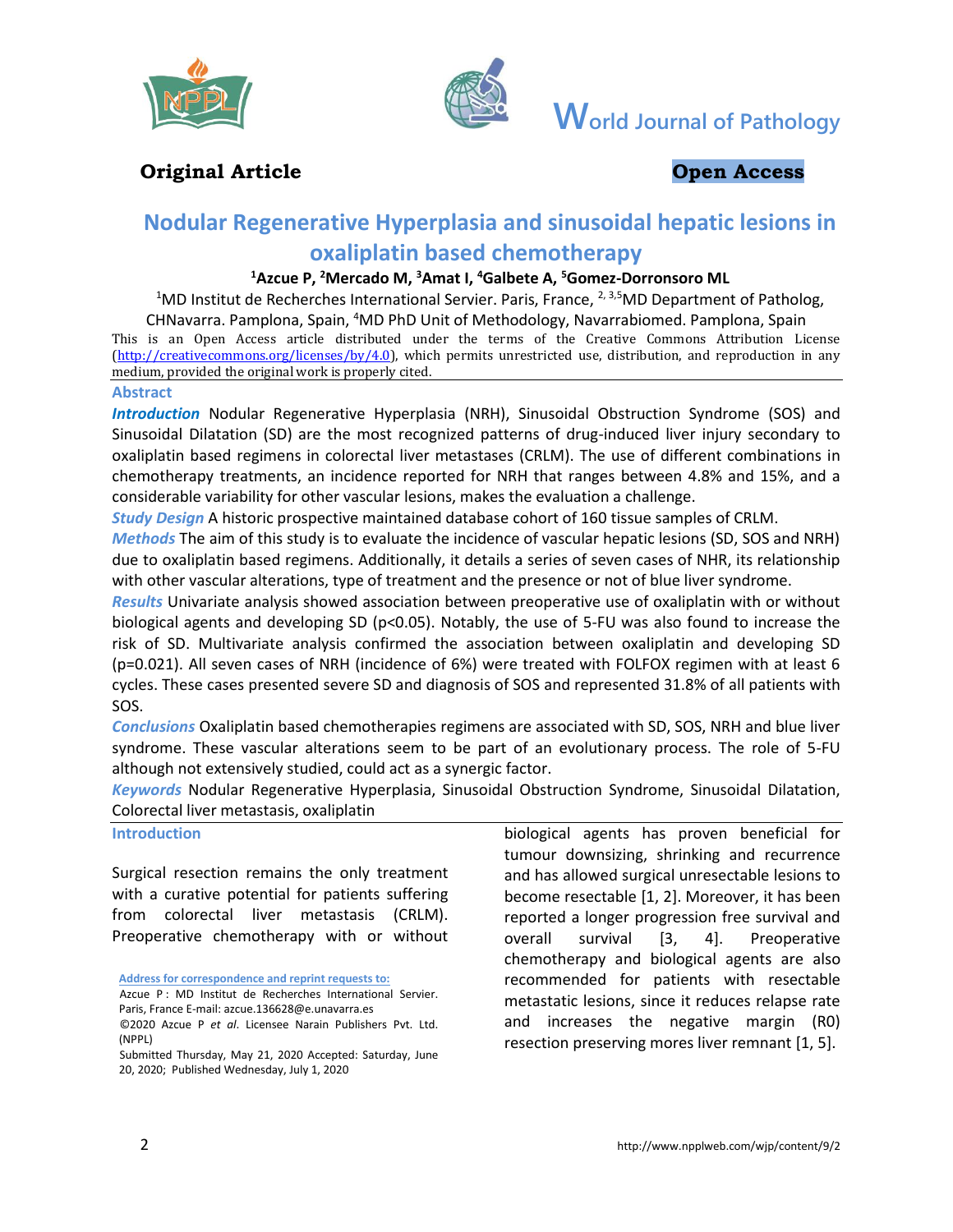



**World Journal of Pathology**

# **Original Article Open Access**

# **Nodular Regenerative Hyperplasia and sinusoidal hepatic lesions in oxaliplatin based chemotherapy**

#### **<sup>1</sup>Azcue P, <sup>2</sup>Mercado M, <sup>3</sup>Amat I, <sup>4</sup>Galbete A, <sup>5</sup>Gomez-Dorronsoro ML**

<sup>1</sup>MD Institut de Recherches International Servier. Paris, France, <sup>2, 3,5</sup>MD Department of Patholog,

CHNavarra. Pamplona, Spain, <sup>4</sup>MD PhD Unit of Methodology, Navarrabiomed. Pamplona, Spain This is an Open Access article distributed under the terms of the Creative Commons Attribution License [\(http://creativecommons.org/licenses/by/4.0\)](about:blank), which permits unrestricted use, distribution, and reproduction in any medium, provided the original work is properly cited.

#### **Abstract**

*Introduction* Nodular Regenerative Hyperplasia (NRH), Sinusoidal Obstruction Syndrome (SOS) and Sinusoidal Dilatation (SD) are the most recognized patterns of drug-induced liver injury secondary to oxaliplatin based regimens in colorectal liver metastases (CRLM). The use of different combinations in chemotherapy treatments, an incidence reported for NRH that ranges between 4.8% and 15%, and a considerable variability for other vascular lesions, makes the evaluation a challenge.

*Study Design* A historic prospective maintained database cohort of 160 tissue samples of CRLM.

*Methods* The aim of this study is to evaluate the incidence of vascular hepatic lesions (SD, SOS and NRH) due to oxaliplatin based regimens. Additionally, it details a series of seven cases of NHR, its relationship with other vascular alterations, type of treatment and the presence or not of blue liver syndrome.

*Results* Univariate analysis showed association between preoperative use of oxaliplatin with or without biological agents and developing SD (p<0.05). Notably, the use of 5-FU was also found to increase the risk of SD. Multivariate analysis confirmed the association between oxaliplatin and developing SD (p=0.021). All seven cases of NRH (incidence of 6%) were treated with FOLFOX regimen with at least 6 cycles. These cases presented severe SD and diagnosis of SOS and represented 31.8% of all patients with SOS.

*Conclusions* Oxaliplatin based chemotherapies regimens are associated with SD, SOS, NRH and blue liver syndrome. These vascular alterations seem to be part of an evolutionary process. The role of 5-FU although not extensively studied, could act as a synergic factor.

*Keywords* Nodular Regenerative Hyperplasia, Sinusoidal Obstruction Syndrome, Sinusoidal Dilatation, Colorectal liver metastasis, oxaliplatin

#### **Introduction**

Surgical resection remains the only treatment with a curative potential for patients suffering from colorectal liver metastasis (CRLM). Preoperative chemotherapy with or without

**Address for correspondence and reprint requests to:**

Azcue P : MD Institut de Recherches International Servier. Paris, France E-mail: azcue.136628@e.unavarra.es ©2020 Azcue P *et al*. Licensee Narain Publishers Pvt. Ltd.

biological agents has proven beneficial for tumour downsizing, shrinking and recurrence and has allowed surgical unresectable lesions to become resectable [1, 2]. Moreover, it has been reported a longer progression free survival and overall survival [3, 4]. Preoperative chemotherapy and biological agents are also recommended for patients with resectable metastatic lesions, since it reduces relapse rate and increases the negative margin (R0) resection preserving mores liver remnant [1, 5].

<sup>(</sup>NPPL)

Submitted Thursday, May 21, 2020 Accepted: Saturday, June 20, 2020; Published Wednesday, July 1, 2020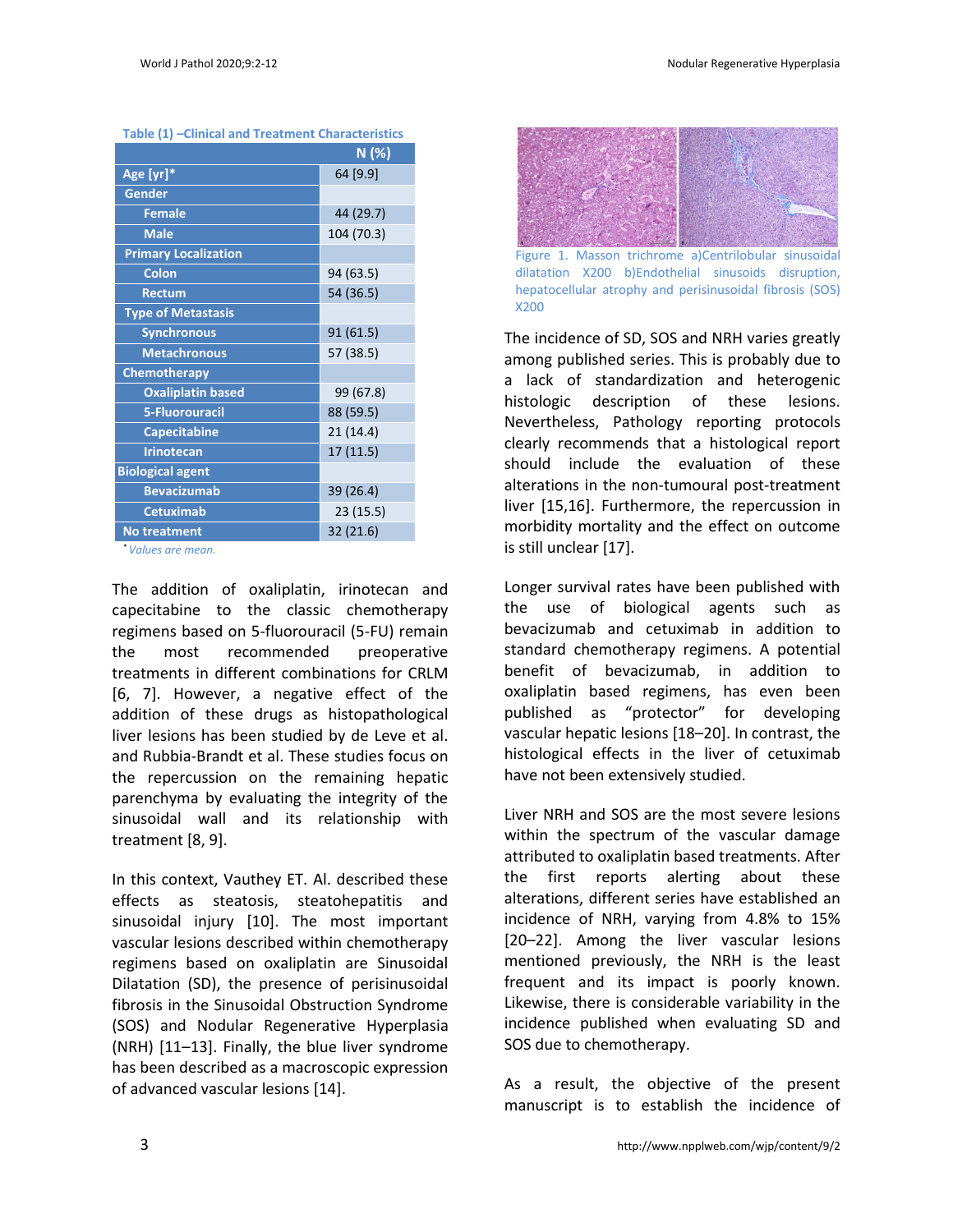| Table (1) –Clinical and Treatment Characteristics |
|---------------------------------------------------|
| N (%)                                             |
| 64 [9.9]                                          |
|                                                   |
| 44 (29.7)                                         |
| 104 (70.3)                                        |
|                                                   |
| 94 (63.5)                                         |
| 54 (36.5)                                         |
|                                                   |
| 91(61.5)                                          |
| 57 (38.5)                                         |
|                                                   |
| 99 (67.8)                                         |
| 88 (59.5)                                         |
| 21 (14.4)                                         |
| 17 (11.5)                                         |
|                                                   |
| 39 (26.4)                                         |
| 23 (15.5)                                         |
| 32 (21.6)                                         |
|                                                   |

**Table (1) –Clinical and Treatment Characteristics**

*\* Values are mean.*

The addition of oxaliplatin, irinotecan and capecitabine to the classic chemotherapy regimens based on 5-fluorouracil (5-FU) remain the most recommended preoperative treatments in different combinations for CRLM [6, 7]. However, a negative effect of the addition of these drugs as histopathological liver lesions has been studied by de Leve et al. and Rubbia-Brandt et al. These studies focus on the repercussion on the remaining hepatic parenchyma by evaluating the integrity of the sinusoidal wall and its relationship with treatment [8, 9].

In this context, Vauthey ET. Al. described these effects as steatosis, steatohepatitis and sinusoidal injury [10]. The most important vascular lesions described within chemotherapy regimens based on oxaliplatin are Sinusoidal Dilatation (SD), the presence of perisinusoidal fibrosis in the Sinusoidal Obstruction Syndrome (SOS) and Nodular Regenerative Hyperplasia (NRH) [11–13]. Finally, the blue liver syndrome has been described as a macroscopic expression of advanced vascular lesions [14].



Figure 1. Masson trichrome a)Centrilobular sinusoidal dilatation X200 b)Endothelial sinusoids disruption, hepatocellular atrophy and perisinusoidal fibrosis (SOS) X200

The incidence of SD, SOS and NRH varies greatly among published series. This is probably due to a lack of standardization and heterogenic histologic description of these lesions. Nevertheless, Pathology reporting protocols clearly recommends that a histological report should include the evaluation of these alterations in the non-tumoural post-treatment liver [15,16]. Furthermore, the repercussion in morbidity mortality and the effect on outcome is still unclear [17].

Longer survival rates have been published with the use of biological agents such as bevacizumab and cetuximab in addition to standard chemotherapy regimens. A potential benefit of bevacizumab, in addition to oxaliplatin based regimens, has even been published as "protector" for developing vascular hepatic lesions [18–20]. In contrast, the histological effects in the liver of cetuximab have not been extensively studied.

Liver NRH and SOS are the most severe lesions within the spectrum of the vascular damage attributed to oxaliplatin based treatments. After the first reports alerting about these alterations, different series have established an incidence of NRH, varying from 4.8% to 15% [20–22]. Among the liver vascular lesions mentioned previously, the NRH is the least frequent and its impact is poorly known. Likewise, there is considerable variability in the incidence published when evaluating SD and SOS due to chemotherapy.

As a result, the objective of the present manuscript is to establish the incidence of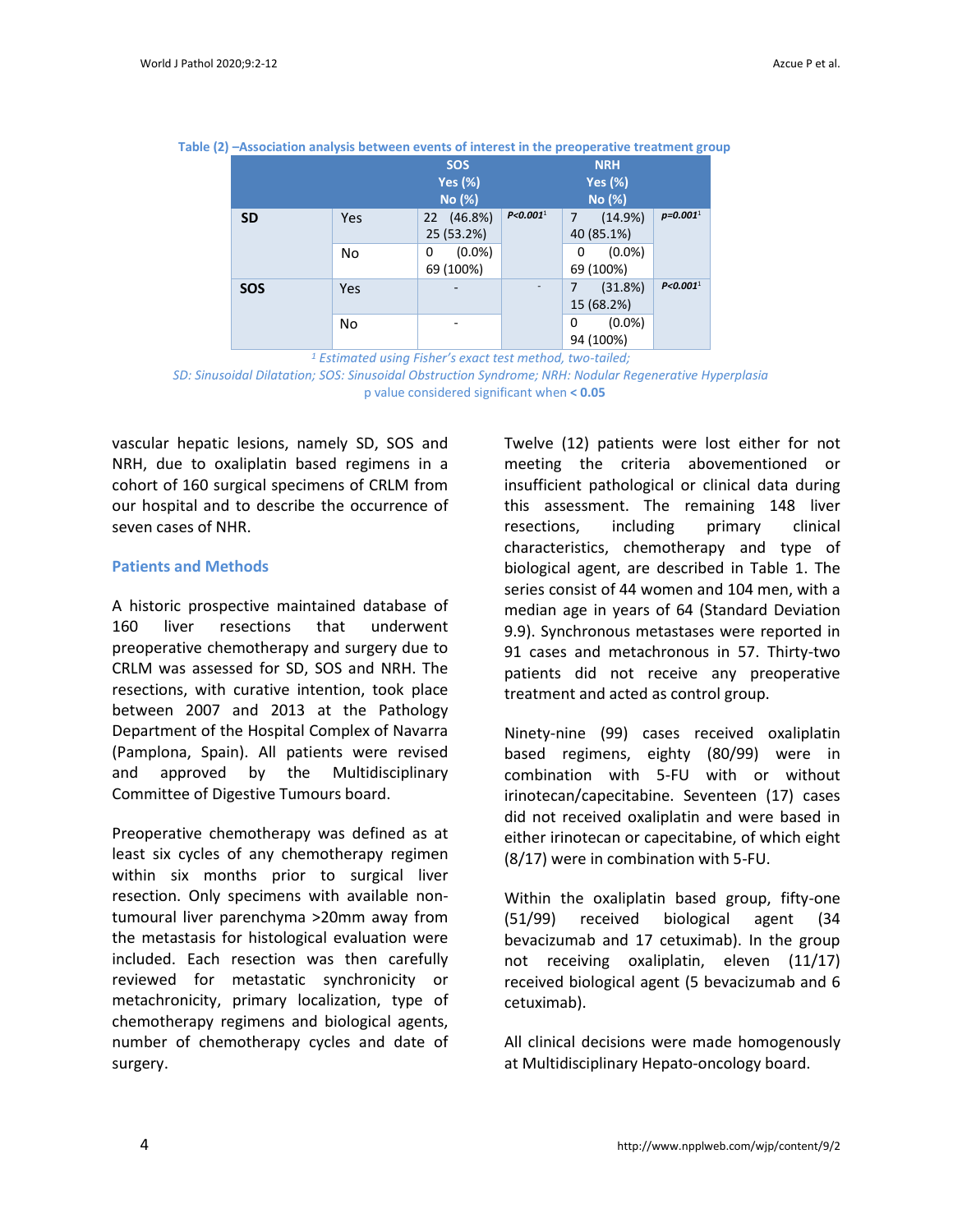|            |     | <b>SOS</b><br><b>Yes (%)</b><br>No (%) |                        | <b>NRH</b><br><b>Yes (%)</b><br>No (%) |                        |  |
|------------|-----|----------------------------------------|------------------------|----------------------------------------|------------------------|--|
| <b>SD</b>  | Yes | 22 (46.8%)<br>25 (53.2%)               | P < 0.001 <sup>1</sup> | (14.9%)<br>7<br>40 (85.1%)             | $p = 0.0011$           |  |
|            | No  | $(0.0\%)$<br>$\Omega$<br>69 (100%)     |                        | $(0.0\%)$<br>0<br>69 (100%)            |                        |  |
| <b>SOS</b> | Yes | -                                      |                        | (31.8%)<br>15 (68.2%)                  | P < 0.001 <sup>1</sup> |  |
|            | No  |                                        |                        | $(0.0\%)$<br>0<br>94 (100%)            |                        |  |

**Table (2) –Association analysis between events of interest in the preoperative treatment group**

*<sup>1</sup> Estimated using Fisher's exact test method, two-tailed;*

*SD: Sinusoidal Dilatation; SOS: Sinusoidal Obstruction Syndrome; NRH: Nodular Regenerative Hyperplasia* p value considered significant when **< 0.05**

vascular hepatic lesions, namely SD, SOS and NRH, due to oxaliplatin based regimens in a cohort of 160 surgical specimens of CRLM from our hospital and to describe the occurrence of seven cases of NHR.

#### **Patients and Methods**

A historic prospective maintained database of 160 liver resections that underwent preoperative chemotherapy and surgery due to CRLM was assessed for SD, SOS and NRH. The resections, with curative intention, took place between 2007 and 2013 at the Pathology Department of the Hospital Complex of Navarra (Pamplona, Spain). All patients were revised and approved by the Multidisciplinary Committee of Digestive Tumours board.

Preoperative chemotherapy was defined as at least six cycles of any chemotherapy regimen within six months prior to surgical liver resection. Only specimens with available nontumoural liver parenchyma >20mm away from the metastasis for histological evaluation were included. Each resection was then carefully reviewed for metastatic synchronicity or metachronicity, primary localization, type of chemotherapy regimens and biological agents, number of chemotherapy cycles and date of surgery.

Twelve (12) patients were lost either for not meeting the criteria abovementioned or insufficient pathological or clinical data during this assessment. The remaining 148 liver resections, including primary clinical characteristics, chemotherapy and type of biological agent, are described in Table 1. The series consist of 44 women and 104 men, with a median age in years of 64 (Standard Deviation 9.9). Synchronous metastases were reported in 91 cases and metachronous in 57. Thirty-two patients did not receive any preoperative treatment and acted as control group.

Ninety-nine (99) cases received oxaliplatin based regimens, eighty (80/99) were in combination with 5-FU with or without irinotecan/capecitabine. Seventeen (17) cases did not received oxaliplatin and were based in either irinotecan or capecitabine, of which eight (8/17) were in combination with 5-FU.

Within the oxaliplatin based group, fifty-one (51/99) received biological agent (34 bevacizumab and 17 cetuximab). In the group not receiving oxaliplatin, eleven (11/17) received biological agent (5 bevacizumab and 6 cetuximab).

All clinical decisions were made homogenously at Multidisciplinary Hepato-oncology board.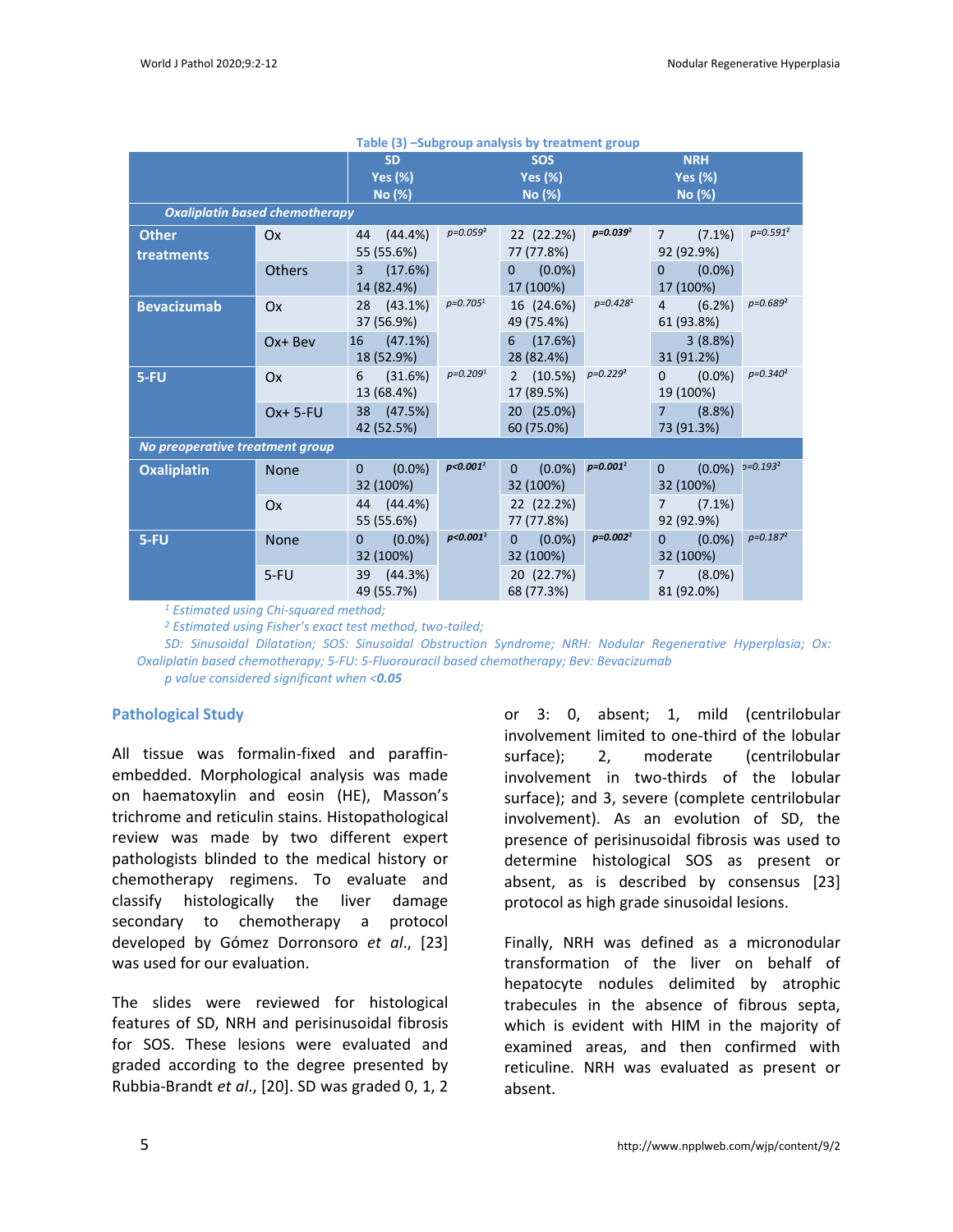| Table (3) -Subgroup analysis by treatment group |                                       |                                         |               |                                                        |               |                                           |               |
|-------------------------------------------------|---------------------------------------|-----------------------------------------|---------------|--------------------------------------------------------|---------------|-------------------------------------------|---------------|
|                                                 |                                       | <b>SD</b><br><b>Yes (%)</b><br>No (%)   |               | <b>SOS</b><br><b>Yes (%)</b><br>No (%)                 |               | <b>NRH</b><br><b>Yes (%)</b><br>No (%)    |               |
|                                                 | <b>Oxaliplatin based chemotherapy</b> |                                         |               |                                                        |               |                                           |               |
| <b>Other</b><br>treatments                      | Ox                                    | $(44.4\%)$<br>44<br>55 (55.6%)          | $p = 0.0592$  | 22 (22.2%)<br>77 (77.8%)                               | $p = 0.0392$  | $(7.1\%)$<br>$\overline{7}$<br>92 (92.9%) | $p = 0.591^2$ |
|                                                 | Others                                | (17.6%)<br>$\overline{3}$<br>14 (82.4%) |               | $(0.0\%)$<br>$\mathbf{0}$<br>17 (100%)                 |               | $(0.0\%)$<br>$\Omega$<br>17 (100%)        |               |
| <b>Bevacizumab</b>                              | Ox                                    | 28<br>$(43.1\%)$<br>37 (56.9%)          | $p = 0.7051$  | 16 (24.6%)<br>49 (75.4%)                               | $p=0.4281$    | $\overline{4}$<br>(6.2%)<br>61 (93.8%)    | $p = 0.689^2$ |
|                                                 | Ox+ Bev                               | 16<br>$(47.1\%)$<br>18 (52.9%)          |               | 6<br>(17.6%)<br>28 (82.4%)                             |               | 3(8.8%)<br>31 (91.2%)                     |               |
| 5-FU                                            | Ox                                    | 6<br>(31.6%)<br>13 (68.4%)              | $p = 0.2091$  | $(10.5\%)$ $p=0.229^2$<br>$\overline{2}$<br>17 (89.5%) |               | $(0.0\%)$<br>$\Omega$<br>19 (100%)        | $p = 0.340^2$ |
|                                                 | Ox+ 5-FU                              | 38<br>(47.5%)<br>42 (52.5%)             |               | 20 (25.0%)<br>60 (75.0%)                               |               | (8.8%)<br>$\overline{7}$<br>73 (91.3%)    |               |
| No preoperative treatment group                 |                                       |                                         |               |                                                        |               |                                           |               |
| <b>Oxaliplatin</b>                              | <b>None</b>                           | $(0.0\%)$<br>$\mathbf{0}$<br>32 (100%)  | $p < 0.001^2$ | $(0.0\%)$<br>$\Omega$<br>32 (100%)                     | $p = 0.001^2$ | $(0.0\%)$<br>$\Omega$<br>32 (100%)        | $p = 0.193^2$ |
|                                                 | Ox                                    | $(44.4\%)$<br>44<br>55 (55.6%)          |               | 22 (22.2%)<br>77 (77.8%)                               |               | $(7.1\%)$<br>$\overline{7}$<br>92 (92.9%) |               |
| $5-FU$                                          | None                                  | $(0.0\%)$<br>0<br>32 (100%)             | $p<0.001^2$   | $(0.0\%)$<br>$\mathbf{0}$<br>32 (100%)                 | $p=0.002^2$   | $\mathbf{0}$<br>$(0.0\%)$<br>32 (100%)    | $p = 0.1872$  |
|                                                 | $5-FU$                                | 39<br>(44.3%)<br>49 (55.7%)             |               | 20 (22.7%)<br>68 (77.3%)                               |               | $(8.0\%)$<br>$\overline{7}$<br>81 (92.0%) |               |

*<sup>1</sup> Estimated using Chi-squared method;*

*<sup>2</sup> Estimated using Fisher's exact test method, two-tailed;*

*SD: Sinusoidal Dilatation; SOS: Sinusoidal Obstruction Syndrome; NRH: Nodular Regenerative Hyperplasia; Ox: Oxaliplatin based chemotherapy; 5-FU: 5-Fluorouracil based chemotherapy; Bev: Bevacizumab p value considered significant when <0.05*

#### **Pathological Study**

All tissue was formalin-fixed and paraffinembedded. Morphological analysis was made on haematoxylin and eosin (HE), Masson's trichrome and reticulin stains. Histopathological review was made by two different expert pathologists blinded to the medical history or chemotherapy regimens. To evaluate and classify histologically the liver damage secondary to chemotherapy a protocol developed by Gómez Dorronsoro *et al*., [23] was used for our evaluation.

The slides were reviewed for histological features of SD, NRH and perisinusoidal fibrosis for SOS. These lesions were evaluated and graded according to the degree presented by Rubbia-Brandt *et al*., [20]. SD was graded 0, 1, 2 or 3: 0, absent; 1, mild (centrilobular involvement limited to one-third of the lobular surface); 2, moderate (centrilobular involvement in two-thirds of the lobular surface); and 3, severe (complete centrilobular involvement). As an evolution of SD, the presence of perisinusoidal fibrosis was used to determine histological SOS as present or absent, as is described by consensus [23] protocol as high grade sinusoidal lesions.

Finally, NRH was defined as a micronodular transformation of the liver on behalf of hepatocyte nodules delimited by atrophic trabecules in the absence of fibrous septa, which is evident with HIM in the majority of examined areas, and then confirmed with reticuline. NRH was evaluated as present or absent.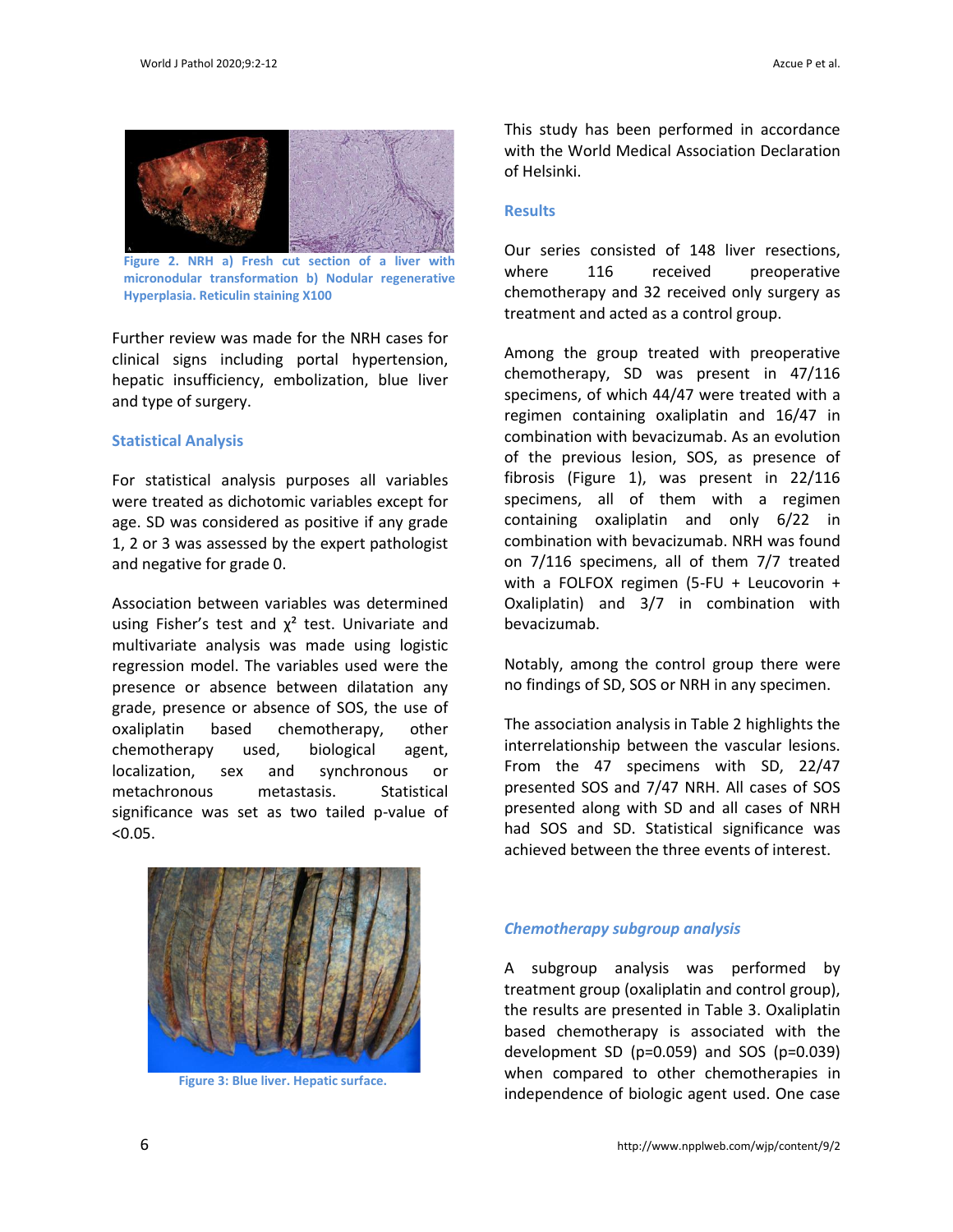

Figure 2. NRH a) Fresh cut section of a liver **micronodular transformation b) Nodular regenerative Hyperplasia. Reticulin staining X100**

Further review was made for the NRH cases for clinical signs including portal hypertension, hepatic insufficiency, embolization, blue liver and type of surgery.

#### **Statistical Analysis**

For statistical analysis purposes all variables were treated as dichotomic variables except for age. SD was considered as positive if any grade 1, 2 or 3 was assessed by the expert pathologist and negative for grade 0.

Association between variables was determined using Fisher's test and  $\chi^2$  test. Univariate and multivariate analysis was made using logistic regression model. The variables used were the presence or absence between dilatation any grade, presence or absence of SOS, the use of oxaliplatin based chemotherapy, other chemotherapy used, biological agent, localization, sex and synchronous or metachronous metastasis. Statistical significance was set as two tailed p-value of  $< 0.05.$ 



**Figure 3: Blue liver. Hepatic surface.**

This study has been performed in accordance with the World Medical Association Declaration of Helsinki.

#### **Results**

Our series consisted of 148 liver resections, where 116 received preoperative chemotherapy and 32 received only surgery as treatment and acted as a control group.

Among the group treated with preoperative chemotherapy, SD was present in 47/116 specimens, of which 44/47 were treated with a regimen containing oxaliplatin and 16/47 in combination with bevacizumab. As an evolution of the previous lesion, SOS, as presence of fibrosis (Figure 1), was present in 22/116 specimens, all of them with a regimen containing oxaliplatin and only 6/22 in combination with bevacizumab. NRH was found on 7/116 specimens, all of them 7/7 treated with a FOLFOX regimen (5-FU + Leucovorin + Oxaliplatin) and 3/7 in combination with bevacizumab.

Notably, among the control group there were no findings of SD, SOS or NRH in any specimen.

The association analysis in Table 2 highlights the interrelationship between the vascular lesions. From the 47 specimens with SD, 22/47 presented SOS and 7/47 NRH. All cases of SOS presented along with SD and all cases of NRH had SOS and SD. Statistical significance was achieved between the three events of interest.

#### *Chemotherapy subgroup analysis*

A subgroup analysis was performed by treatment group (oxaliplatin and control group), the results are presented in Table 3. Oxaliplatin based chemotherapy is associated with the development SD (p=0.059) and SOS (p=0.039) when compared to other chemotherapies in independence of biologic agent used. One case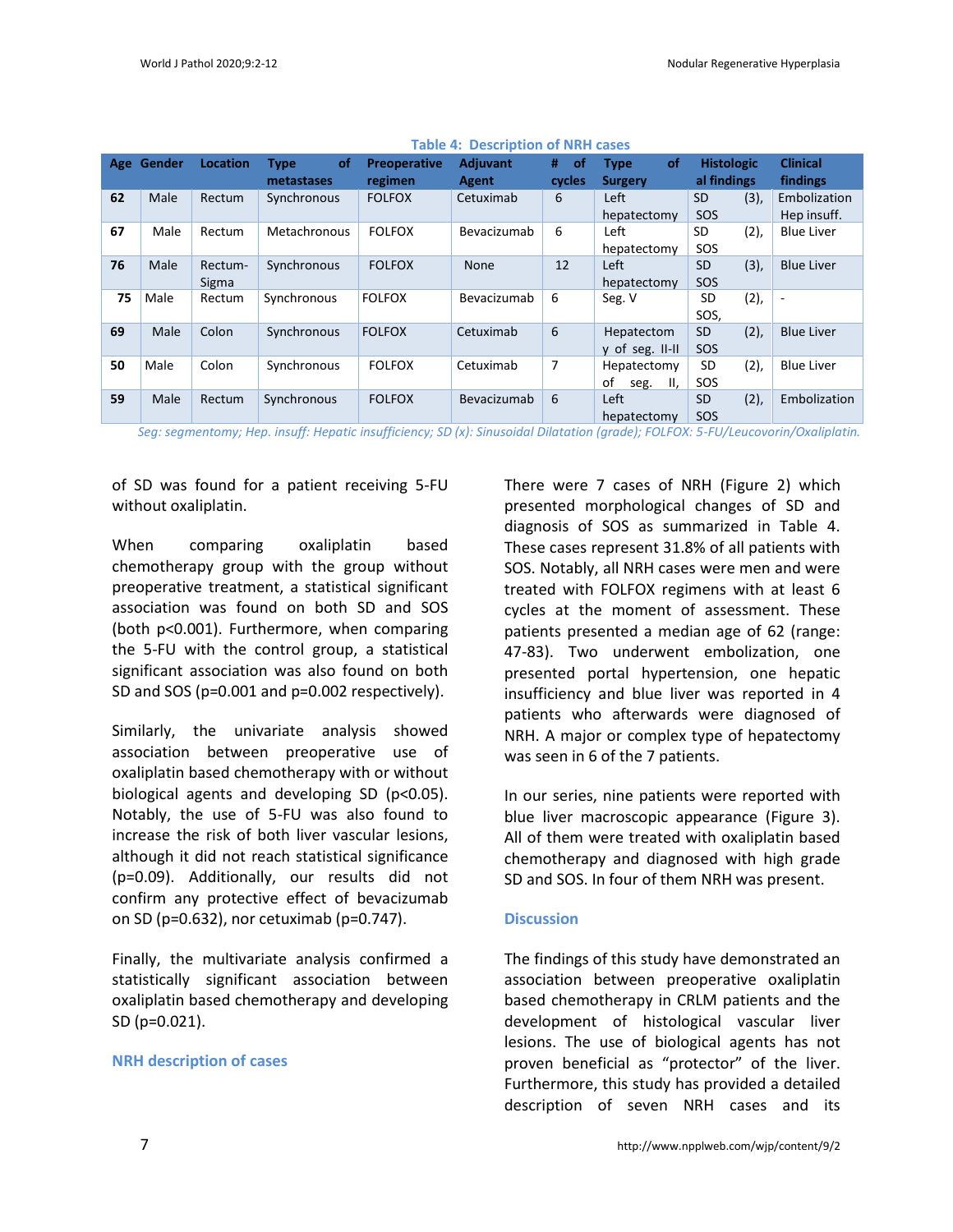| Age | Gender | Location | of<br><b>Type</b><br>metastases | <b>Preoperative</b><br>regimen | Adjuvant<br>Agent | #<br><b>of</b><br>cycles | of<br><b>Type</b><br><b>Surgery</b> | <b>Histologic</b><br>al findings | <b>Clinical</b><br>findings |
|-----|--------|----------|---------------------------------|--------------------------------|-------------------|--------------------------|-------------------------------------|----------------------------------|-----------------------------|
| 62  | Male   | Rectum   | Synchronous                     | <b>FOLFOX</b>                  | Cetuximab         | 6                        | Left                                | (3),<br><b>SD</b>                | Embolization                |
|     |        |          |                                 |                                |                   |                          | hepatectomy                         | SOS                              | Hep insuff.                 |
| 67  | Male   | Rectum   | Metachronous                    | <b>FOLFOX</b>                  | Bevacizumab       | 6                        | Left                                | (2),<br>SD                       | <b>Blue Liver</b>           |
|     |        |          |                                 |                                |                   |                          | hepatectomy                         | SOS                              |                             |
| 76  | Male   | Rectum-  | Synchronous                     | <b>FOLFOX</b>                  | None              | 12                       | Left                                | (3),<br><b>SD</b>                | <b>Blue Liver</b>           |
|     |        | Sigma    |                                 |                                |                   |                          | hepatectomy                         | SOS                              |                             |
| 75  | Male   | Rectum   | Synchronous                     | <b>FOLFOX</b>                  | Bevacizumab       | 6                        | Seg. V                              | (2),<br>SD                       | $\overline{\phantom{a}}$    |
|     |        |          |                                 |                                |                   |                          |                                     | SOS,                             |                             |
| 69  | Male   | Colon    | Synchronous                     | <b>FOLFOX</b>                  | Cetuximab         | 6                        | Hepatectom                          | (2),<br><b>SD</b>                | <b>Blue Liver</b>           |
|     |        |          |                                 |                                |                   |                          | y of seg. II-II                     | SOS                              |                             |
| 50  | Male   | Colon    | Synchronous                     | <b>FOLFOX</b>                  | Cetuximab         | 7                        | Hepatectomy                         | (2),<br>SD                       | <b>Blue Liver</b>           |
|     |        |          |                                 |                                |                   |                          | οf<br>II,<br>seg.                   | SOS                              |                             |
| 59  | Male   | Rectum   | Synchronous                     | <b>FOLFOX</b>                  | Bevacizumab       | 6                        | Left                                | (2),<br><b>SD</b>                | Embolization                |
|     |        |          |                                 |                                |                   |                          | hepatectomy                         | SOS                              |                             |

#### **Table 4: Description of NRH cases**

+ seg. V-VIII *Seg: segmentomy; Hep. insuff: Hepatic insufficiency; SD (x): Sinusoidal Dilatation (grade); FOLFOX: 5-FU/Leucovorin/Oxaliplatin.*

of SD was found for a patient receiving 5-FU without oxaliplatin.

When comparing oxaliplatin based chemotherapy group with the group without preoperative treatment, a statistical significant association was found on both SD and SOS (both p<0.001). Furthermore, when comparing the 5-FU with the control group, a statistical significant association was also found on both SD and SOS (p=0.001 and p=0.002 respectively).

Similarly, the univariate analysis showed association between preoperative use of oxaliplatin based chemotherapy with or without biological agents and developing SD (p<0.05). Notably, the use of 5-FU was also found to increase the risk of both liver vascular lesions, although it did not reach statistical significance (p=0.09). Additionally, our results did not confirm any protective effect of bevacizumab on SD (p=0.632), nor cetuximab (p=0.747).

Finally, the multivariate analysis confirmed a statistically significant association between oxaliplatin based chemotherapy and developing SD (p=0.021).

#### **NRH description of cases**

There were 7 cases of NRH (Figure 2) which presented morphological changes of SD and diagnosis of SOS as summarized in Table 4. These cases represent 31.8% of all patients with SOS. Notably, all NRH cases were men and were treated with FOLFOX regimens with at least 6 cycles at the moment of assessment. These patients presented a median age of 62 (range: 47-83). Two underwent embolization, one presented portal hypertension, one hepatic insufficiency and blue liver was reported in 4 patients who afterwards were diagnosed of NRH. A major or complex type of hepatectomy was seen in 6 of the 7 patients.

In our series, nine patients were reported with blue liver macroscopic appearance (Figure 3). All of them were treated with oxaliplatin based chemotherapy and diagnosed with high grade SD and SOS. In four of them NRH was present.

#### **Discussion**

The findings of this study have demonstrated an association between preoperative oxaliplatin based chemotherapy in CRLM patients and the development of histological vascular liver lesions. The use of biological agents has not proven beneficial as "protector" of the liver. Furthermore, this study has provided a detailed description of seven NRH cases and its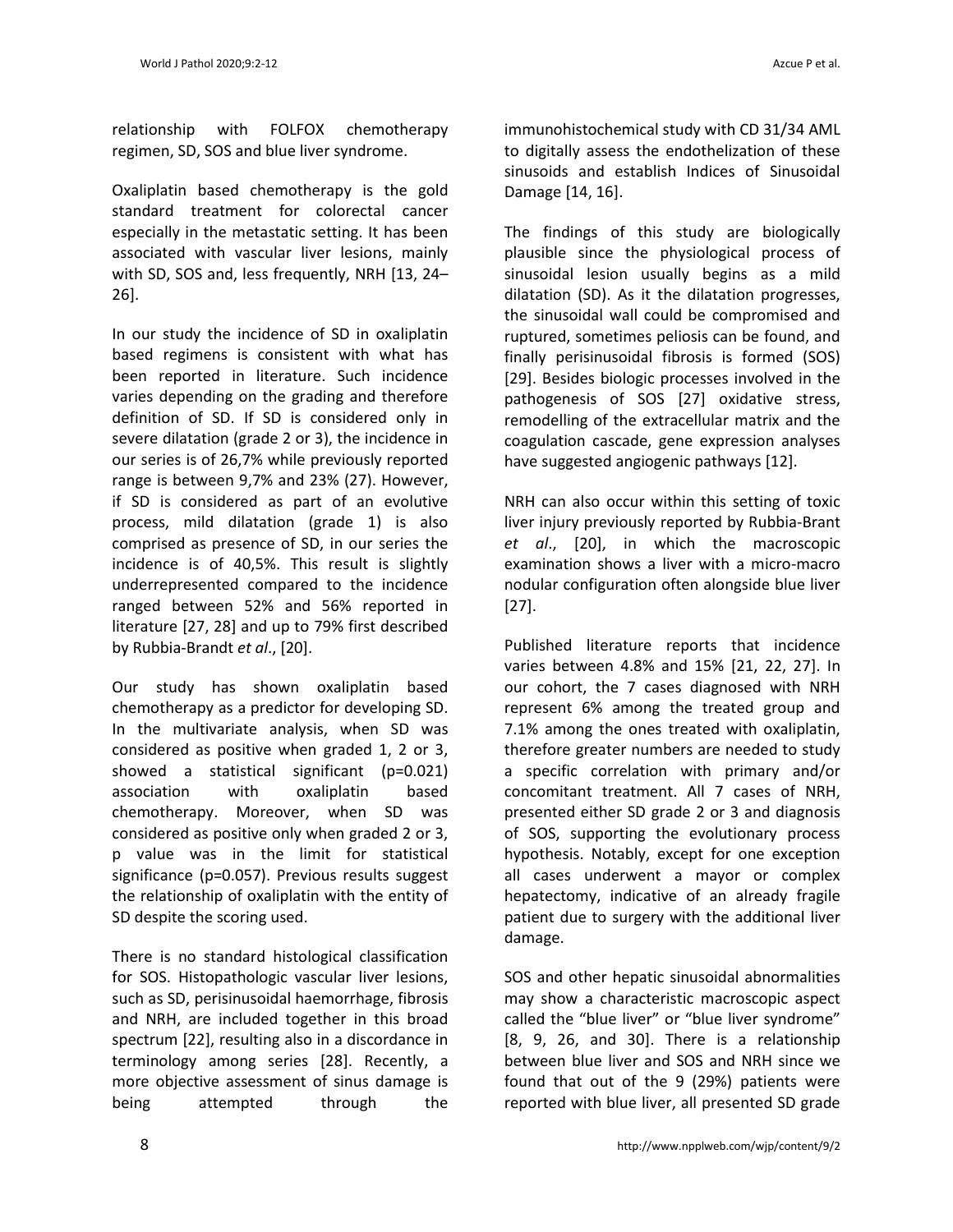relationship with FOLFOX chemotherapy regimen, SD, SOS and blue liver syndrome.

Oxaliplatin based chemotherapy is the gold standard treatment for colorectal cancer especially in the metastatic setting. It has been associated with vascular liver lesions, mainly with SD, SOS and, less frequently, NRH [13, 24– 26].

In our study the incidence of SD in oxaliplatin based regimens is consistent with what has been reported in literature. Such incidence varies depending on the grading and therefore definition of SD. If SD is considered only in severe dilatation (grade 2 or 3), the incidence in our series is of 26,7% while previously reported range is between 9,7% and 23% (27). However, if SD is considered as part of an evolutive process, mild dilatation (grade 1) is also comprised as presence of SD, in our series the incidence is of 40,5%. This result is slightly underrepresented compared to the incidence ranged between 52% and 56% reported in literature [27, 28] and up to 79% first described by Rubbia-Brandt *et al*., [20].

Our study has shown oxaliplatin based chemotherapy as a predictor for developing SD. In the multivariate analysis, when SD was considered as positive when graded 1, 2 or 3, showed a statistical significant (p=0.021) association with oxaliplatin based chemotherapy. Moreover, when SD was considered as positive only when graded 2 or 3, p value was in the limit for statistical significance (p=0.057). Previous results suggest the relationship of oxaliplatin with the entity of SD despite the scoring used.

There is no standard histological classification for SOS. Histopathologic vascular liver lesions, such as SD, perisinusoidal haemorrhage, fibrosis and NRH, are included together in this broad spectrum [22], resulting also in a discordance in terminology among series [28]. Recently, a more objective assessment of sinus damage is being attempted through the

immunohistochemical study with CD 31/34 AML to digitally assess the endothelization of these sinusoids and establish Indices of Sinusoidal

Damage [14, 16].

The findings of this study are biologically plausible since the physiological process of sinusoidal lesion usually begins as a mild dilatation (SD). As it the dilatation progresses, the sinusoidal wall could be compromised and ruptured, sometimes peliosis can be found, and finally perisinusoidal fibrosis is formed (SOS) [29]. Besides biologic processes involved in the pathogenesis of SOS [27] oxidative stress, remodelling of the extracellular matrix and the coagulation cascade, gene expression analyses have suggested angiogenic pathways [12].

NRH can also occur within this setting of toxic liver injury previously reported by Rubbia-Brant *et al*., [20], in which the macroscopic examination shows a liver with a micro-macro nodular configuration often alongside blue liver [27].

Published literature reports that incidence varies between 4.8% and 15% [21, 22, 27]. In our cohort, the 7 cases diagnosed with NRH represent 6% among the treated group and 7.1% among the ones treated with oxaliplatin, therefore greater numbers are needed to study a specific correlation with primary and/or concomitant treatment. All 7 cases of NRH, presented either SD grade 2 or 3 and diagnosis of SOS, supporting the evolutionary process hypothesis. Notably, except for one exception all cases underwent a mayor or complex hepatectomy, indicative of an already fragile patient due to surgery with the additional liver damage.

SOS and other hepatic sinusoidal abnormalities may show a characteristic macroscopic aspect called the "blue liver" or "blue liver syndrome" [8, 9, 26, and 30]. There is a relationship between blue liver and SOS and NRH since we found that out of the 9 (29%) patients were reported with blue liver, all presented SD grade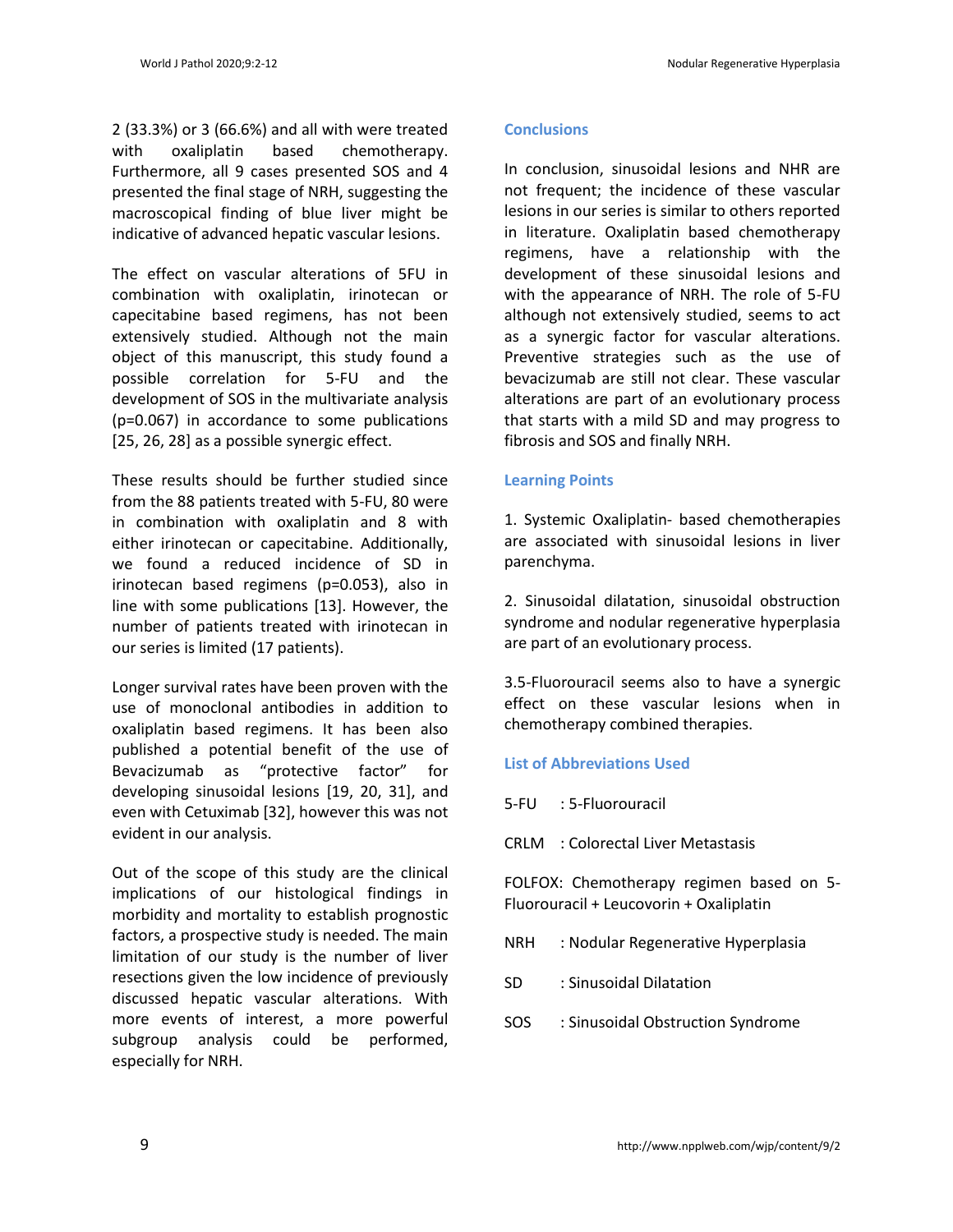2 (33.3%) or 3 (66.6%) and all with were treated with oxaliplatin based chemotherapy. Furthermore, all 9 cases presented SOS and 4 presented the final stage of NRH, suggesting the macroscopical finding of blue liver might be indicative of advanced hepatic vascular lesions.

The effect on vascular alterations of 5FU in combination with oxaliplatin, irinotecan or capecitabine based regimens, has not been extensively studied. Although not the main object of this manuscript, this study found a possible correlation for 5-FU and the development of SOS in the multivariate analysis (p=0.067) in accordance to some publications [25, 26, 28] as a possible synergic effect.

These results should be further studied since from the 88 patients treated with 5-FU, 80 were in combination with oxaliplatin and 8 with either irinotecan or capecitabine. Additionally, we found a reduced incidence of SD in irinotecan based regimens (p=0.053), also in line with some publications [13]. However, the number of patients treated with irinotecan in our series is limited (17 patients).

Longer survival rates have been proven with the use of monoclonal antibodies in addition to oxaliplatin based regimens. It has been also published a potential benefit of the use of Bevacizumab as "protective factor" for developing sinusoidal lesions [19, 20, 31], and even with Cetuximab [32], however this was not evident in our analysis.

Out of the scope of this study are the clinical implications of our histological findings in morbidity and mortality to establish prognostic factors, a prospective study is needed. The main limitation of our study is the number of liver resections given the low incidence of previously discussed hepatic vascular alterations. With more events of interest, a more powerful subgroup analysis could be performed, especially for NRH.

# **Conclusions**

In conclusion, sinusoidal lesions and NHR are not frequent; the incidence of these vascular lesions in our series is similar to others reported in literature. Oxaliplatin based chemotherapy regimens, have a relationship with the development of these sinusoidal lesions and with the appearance of NRH. The role of 5-FU although not extensively studied, seems to act as a synergic factor for vascular alterations. Preventive strategies such as the use of bevacizumab are still not clear. These vascular alterations are part of an evolutionary process that starts with a mild SD and may progress to fibrosis and SOS and finally NRH.

# **Learning Points**

1. Systemic Oxaliplatin- based chemotherapies are associated with sinusoidal lesions in liver parenchyma.

2. Sinusoidal dilatation, sinusoidal obstruction syndrome and nodular regenerative hyperplasia are part of an evolutionary process.

3.5-Fluorouracil seems also to have a synergic effect on these vascular lesions when in chemotherapy combined therapies.

# **List of Abbreviations Used**

- 5-FU : 5-Fluorouracil
- CRLM : Colorectal Liver Metastasis

FOLFOX: Chemotherapy regimen based on 5- Fluorouracil + Leucovorin + Oxaliplatin

- NRH : Nodular Regenerative Hyperplasia
- SD : Sinusoidal Dilatation
- SOS : Sinusoidal Obstruction Syndrome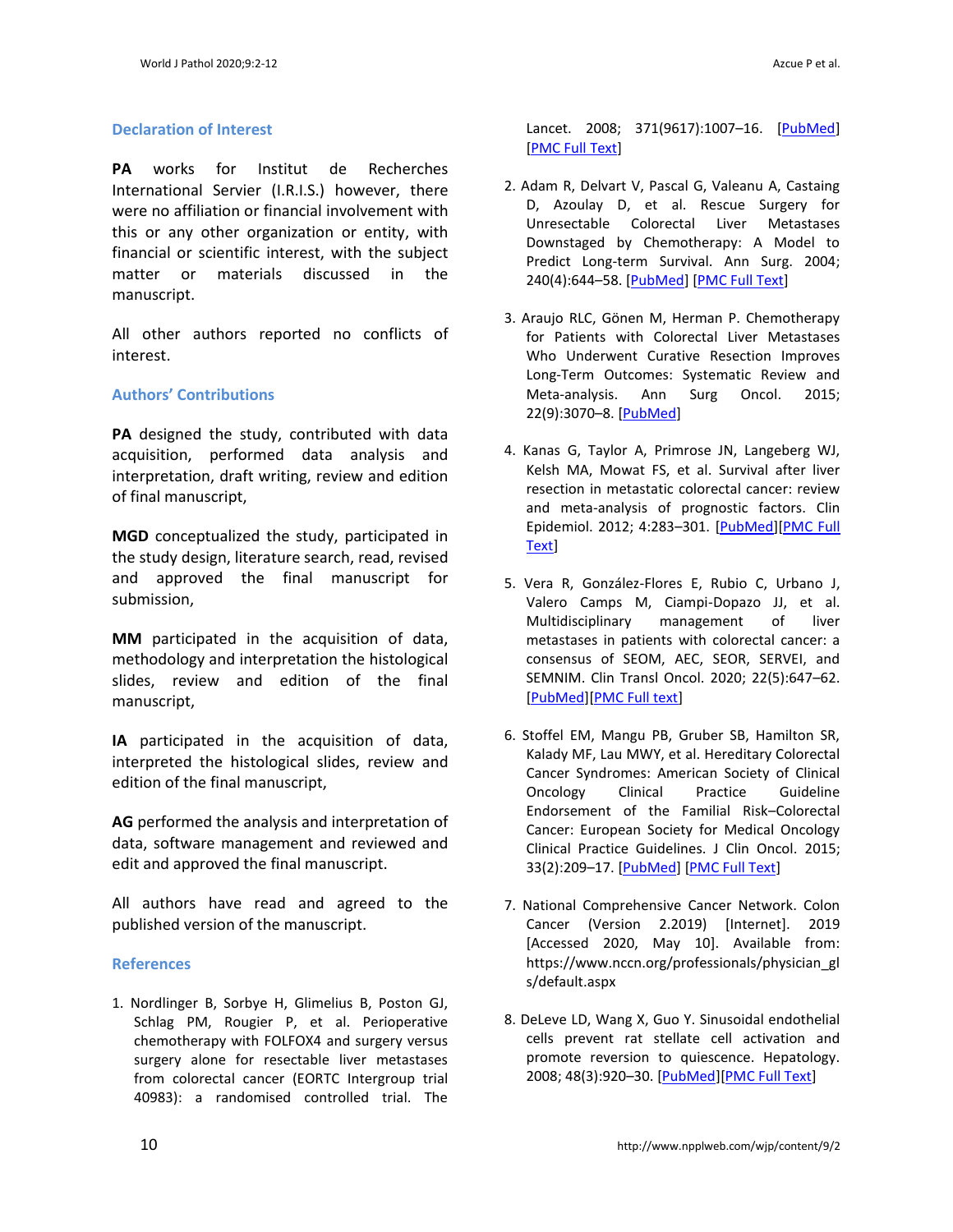#### **Declaration of Interest**

**PA** works for Institut de Recherches International Servier (I.R.I.S.) however, there were no affiliation or financial involvement with this or any other organization or entity, with financial or scientific interest, with the subject matter or materials discussed in the manuscript.

All other authors reported no conflicts of interest.

# **Authors' Contributions**

**PA** designed the study, contributed with data acquisition, performed data analysis and interpretation, draft writing, review and edition of final manuscript,

**MGD** conceptualized the study, participated in the study design, literature search, read, revised and approved the final manuscript for submission,

**MM** participated in the acquisition of data, methodology and interpretation the histological slides, review and edition of the final manuscript,

**IA** participated in the acquisition of data, interpreted the histological slides, review and edition of the final manuscript,

**AG** performed the analysis and interpretation of data, software management and reviewed and edit and approved the final manuscript.

All authors have read and agreed to the published version of the manuscript.

# **References**

1. Nordlinger B, Sorbye H, Glimelius B, Poston GJ, Schlag PM, Rougier P, et al. Perioperative chemotherapy with FOLFOX4 and surgery versus surgery alone for resectable liver metastases from colorectal cancer (EORTC Intergroup trial 40983): a randomised controlled trial. The

Lancet. 2008; 371(9617):1007-16. [\[PubMed\]](https://pubmed.ncbi.nlm.nih.gov/18358928/) [\[PMC Full Text\]](https://www.ncbi.nlm.nih.gov/pmc/articles/PMC2277487/)

- 2. Adam R, Delvart V, Pascal G, Valeanu A, Castaing D, Azoulay D, et al. Rescue Surgery for Unresectable Colorectal Liver Metastases Downstaged by Chemotherapy: A Model to Predict Long-term Survival. Ann Surg. 2004; 240(4):644–58. [\[PubMed\]](about:blank) [\[PMC Full Text\]](about:blank)
- 3. Araujo RLC, Gönen M, Herman P. Chemotherapy for Patients with Colorectal Liver Metastases Who Underwent Curative Resection Improves Long-Term Outcomes: Systematic Review and Meta-analysis. Ann Surg Oncol. 2015; 22(9):3070–8. [\[PubMed\]](about:blank)
- 4. Kanas G, Taylor A, Primrose JN, Langeberg WJ, Kelsh MA, Mowat FS, et al. Survival after liver resection in metastatic colorectal cancer: review and meta-analysis of prognostic factors. Clin Epidemiol. 2012; 4:283–301. [\[PubMed\]\[PMC Full](about:blank)  [Text\]](about:blank)
- 5. Vera R, González-Flores E, Rubio C, Urbano J, Valero Camps M, Ciampi-Dopazo JJ, et al. Multidisciplinary management of liver metastases in patients with colorectal cancer: a consensus of SEOM, AEC, SEOR, SERVEI, and SEMNIM. Clin Transl Oncol. 2020; 22(5):647–62. [\[PubMed\]\[PMC Full text\]](about:blank)
- 6. Stoffel EM, Mangu PB, Gruber SB, Hamilton SR, Kalady MF, Lau MWY, et al. Hereditary Colorectal Cancer Syndromes: American Society of Clinical Oncology Clinical Practice Guideline Endorsement of the Familial Risk–Colorectal Cancer: European Society for Medical Oncology Clinical Practice Guidelines. J Clin Oncol. 2015; 33(2):209–17. [\[PubMed\]](https://pubmed.ncbi.nlm.nih.gov/25452455/) [\[PMC Full Text\]](https://www.ncbi.nlm.nih.gov/pmc/articles/PMC5321096/)
- 7. National Comprehensive Cancer Network. Colon Cancer (Version 2.2019) [Internet]. 2019 [Accessed 2020, May 10]. Available from: https://www.nccn.org/professionals/physician\_gl s/default.aspx
- 8. DeLeve LD, Wang X, Guo Y. Sinusoidal endothelial cells prevent rat stellate cell activation and promote reversion to quiescence. Hepatology. 2008; 48(3):920–30. [\[PubMed\]\[PMC Full Text\]](about:blank)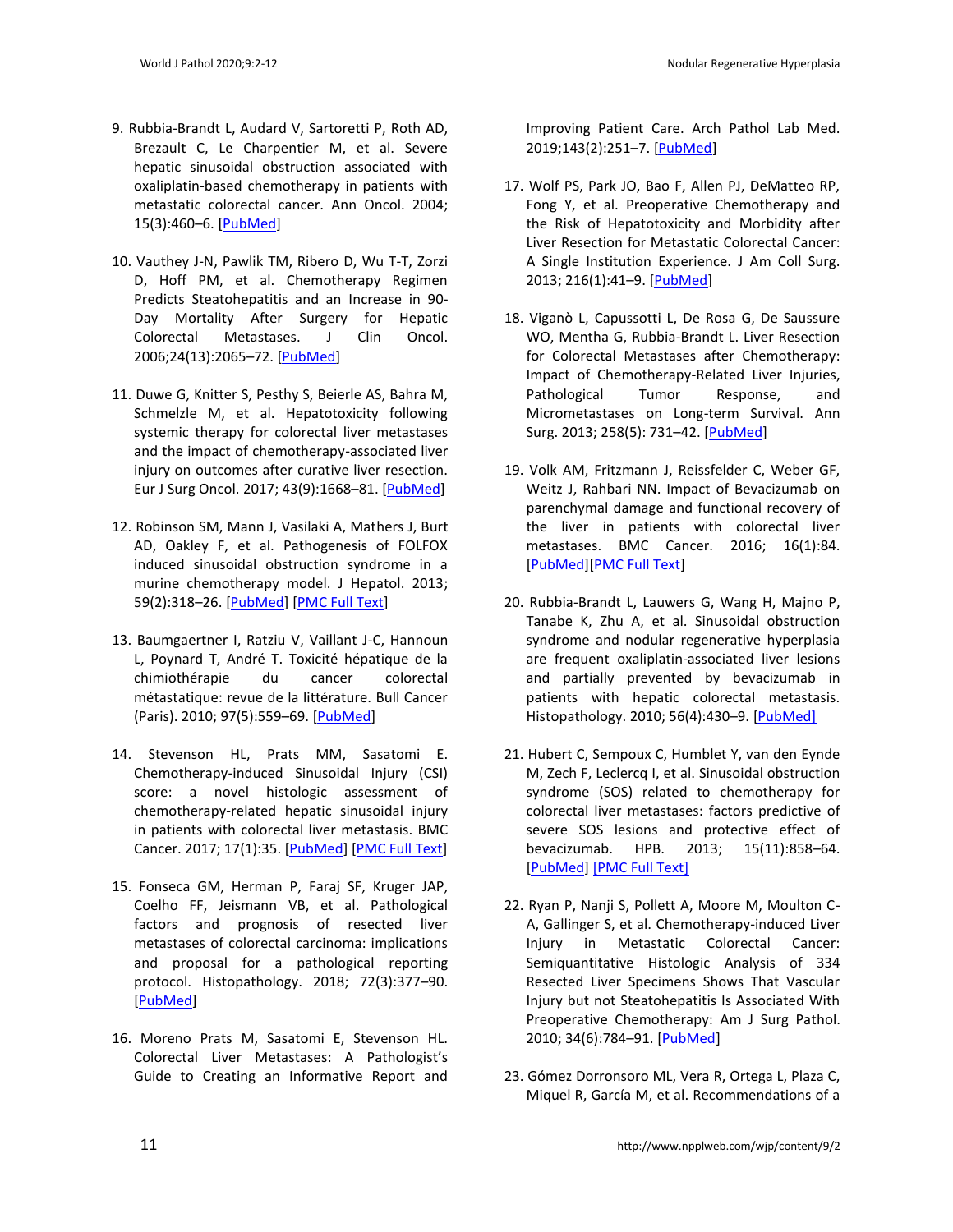- 9. Rubbia-Brandt L, Audard V, Sartoretti P, Roth AD, Brezault C, Le Charpentier M, et al. Severe hepatic sinusoidal obstruction associated with oxaliplatin-based chemotherapy in patients with metastatic colorectal cancer. Ann Oncol. 2004; 15(3):460–6. [\[PubMed\]](about:blank)
- 10. Vauthey J-N, Pawlik TM, Ribero D, Wu T-T, Zorzi D, Hoff PM, et al. Chemotherapy Regimen Predicts Steatohepatitis and an Increase in 90- Day Mortality After Surgery for Hepatic Colorectal Metastases. J Clin Oncol. 2006;24(13):2065–72. [\[PubMed\]](about:blank)
- 11. Duwe G, Knitter S, Pesthy S, Beierle AS, Bahra M, Schmelzle M, et al. Hepatotoxicity following systemic therapy for colorectal liver metastases and the impact of chemotherapy-associated liver injury on outcomes after curative liver resection. Eur J Surg Oncol. 2017; 43(9):1668–81. [\[PubMed\]](about:blank)
- 12. Robinson SM, Mann J, Vasilaki A, Mathers J, Burt AD, Oakley F, et al. Pathogenesis of FOLFOX induced sinusoidal obstruction syndrome in a murine chemotherapy model. J Hepatol. 2013; 59(2):318–26. [\[PubMed\]](about:blank) [\[PMC Full Text\]](about:blank)
- 13. Baumgaertner I, Ratziu V, Vaillant J-C, Hannoun L, Poynard T, André T. Toxicité hépatique de la chimiothérapie du cancer colorectal métastatique: revue de la littérature. Bull Cancer (Paris). 2010; 97(5):559–69. [\[PubMed\]](about:blank)
- 14. Stevenson HL, Prats MM, Sasatomi E. Chemotherapy-induced Sinusoidal Injury (CSI) score: a novel histologic assessment of chemotherapy-related hepatic sinusoidal injury in patients with colorectal liver metastasis. BMC Cancer. 2017; 17(1):35. [\[PubMed\]](about:blank) [\[PMC Full Text\]](about:blank)
- 15. Fonseca GM, Herman P, Faraj SF, Kruger JAP, Coelho FF, Jeismann VB, et al. Pathological factors and prognosis of resected liver metastases of colorectal carcinoma: implications and proposal for a pathological reporting protocol. Histopathology. 2018; 72(3):377–90. [\[PubMed\]](about:blank)
- 16. Moreno Prats M, Sasatomi E, Stevenson HL. Colorectal Liver Metastases: A Pathologist's Guide to Creating an Informative Report and

Improving Patient Care. Arch Pathol Lab Med. 2019;143(2):251–7. [\[PubMed\]](about:blank)

- 17. Wolf PS, Park JO, Bao F, Allen PJ, DeMatteo RP, Fong Y, et al. Preoperative Chemotherapy and the Risk of Hepatotoxicity and Morbidity after Liver Resection for Metastatic Colorectal Cancer: A Single Institution Experience. J Am Coll Surg. 2013; 216(1):41–9. [\[PubMed\]](about:blank)
- 18. Viganò L, Capussotti L, De Rosa G, De Saussure WO, Mentha G, Rubbia-Brandt L. Liver Resection for Colorectal Metastases after Chemotherapy: Impact of Chemotherapy-Related Liver Injuries, Pathological Tumor Response, and Micrometastases on Long-term Survival. Ann Surg. 2013; 258(5): 731–42. [\[PubMed\]](https://pubmed.ncbi.nlm.nih.gov/24045448/)
- 19. Volk AM, Fritzmann J, Reissfelder C, Weber GF, Weitz J, Rahbari NN. Impact of Bevacizumab on parenchymal damage and functional recovery of the liver in patients with colorectal liver metastases. BMC Cancer. 2016; 16(1):84. [\[PubMed\]\[PMC Full Text\]](about:blank)
- 20. Rubbia-Brandt L, Lauwers G, Wang H, Majno P, Tanabe K, Zhu A, et al. Sinusoidal obstruction syndrome and nodular regenerative hyperplasia are frequent oxaliplatin‐associated liver lesions and partially prevented by bevacizumab in patients with hepatic colorectal metastasis. Histopathology. 2010; 56(4):430–9. [\[PubMed\]](about:blank)
- 21. Hubert C, Sempoux C, Humblet Y, van den Eynde M, Zech F, Leclercq I, et al. Sinusoidal obstruction syndrome (SOS) related to chemotherapy for colorectal liver metastases: factors predictive of severe SOS lesions and protective effect of bevacizumab. HPB. 2013; 15(11):858–64. [\[PubMed\] \[PMC Full Text\]](about:blank)
- 22. Ryan P, Nanji S, Pollett A, Moore M, Moulton C-A, Gallinger S, et al. Chemotherapy-induced Liver Injury in Metastatic Colorectal Cancer: Semiquantitative Histologic Analysis of 334 Resected Liver Specimens Shows That Vascular Injury but not Steatohepatitis Is Associated With Preoperative Chemotherapy: Am J Surg Pathol. 2010; 34(6):784–91. [\[PubMed\]](https://pubmed.ncbi.nlm.nih.gov/20421779/)
- 23. Gómez Dorronsoro ML, Vera R, Ortega L, Plaza C, Miquel R, García M, et al. Recommendations of a